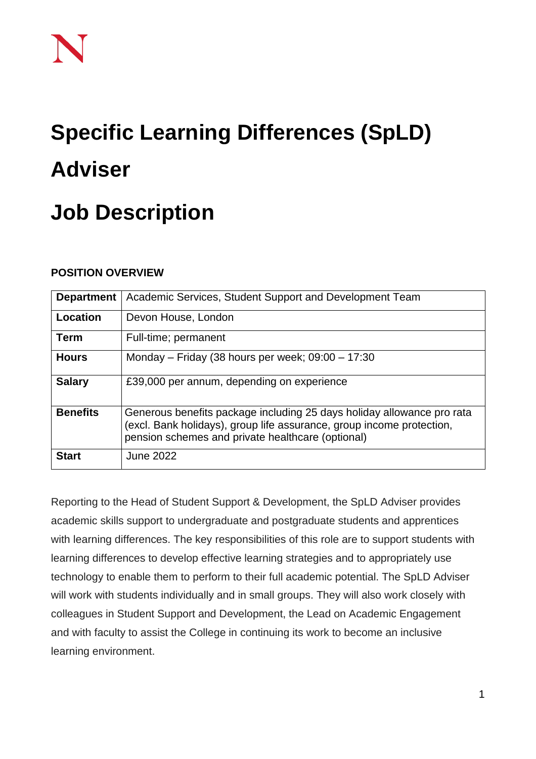# **Specific Learning Differences (SpLD) Adviser**

## **Job Description**

### **POSITION OVERVIEW**

| <b>Department</b> | Academic Services, Student Support and Development Team                                                                                                                                              |
|-------------------|------------------------------------------------------------------------------------------------------------------------------------------------------------------------------------------------------|
| Location          | Devon House, London                                                                                                                                                                                  |
| <b>Term</b>       | Full-time; permanent                                                                                                                                                                                 |
| <b>Hours</b>      | Monday – Friday (38 hours per week; $09:00 - 17:30$                                                                                                                                                  |
| <b>Salary</b>     | £39,000 per annum, depending on experience                                                                                                                                                           |
| <b>Benefits</b>   | Generous benefits package including 25 days holiday allowance pro rata<br>(excl. Bank holidays), group life assurance, group income protection,<br>pension schemes and private healthcare (optional) |
| <b>Start</b>      | <b>June 2022</b>                                                                                                                                                                                     |

Reporting to the Head of Student Support & Development, the SpLD Adviser provides academic skills support to undergraduate and postgraduate students and apprentices with learning differences. The key responsibilities of this role are to support students with learning differences to develop effective learning strategies and to appropriately use technology to enable them to perform to their full academic potential. The SpLD Adviser will work with students individually and in small groups. They will also work closely with colleagues in Student Support and Development, the Lead on Academic Engagement and with faculty to assist the College in continuing its work to become an inclusive learning environment.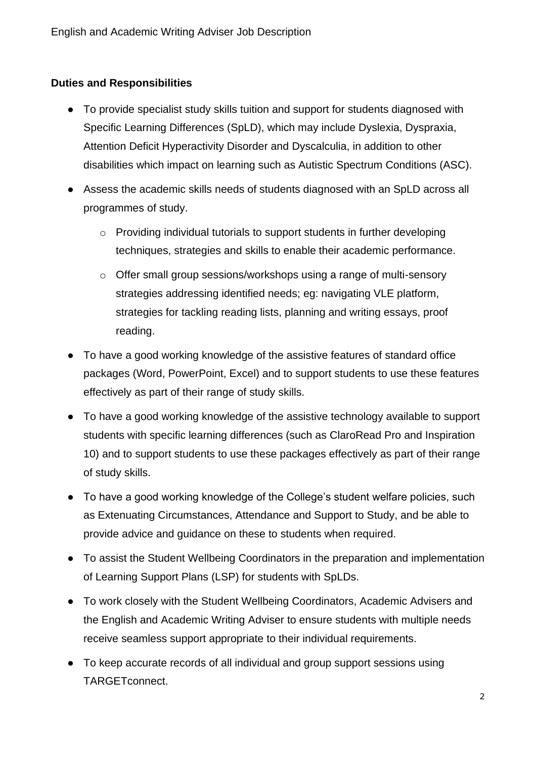#### **Duties and Responsibilities**

- To provide specialist study skills tuition and support for students diagnosed with Specific Learning Differences (SpLD), which may include Dyslexia, Dyspraxia, Attention Deficit Hyperactivity Disorder and Dyscalculia, in addition to other disabilities which impact on learning such as Autistic Spectrum Conditions (ASC).
- Assess the academic skills needs of students diagnosed with an SpLD across all programmes of study.
	- o Providing individual tutorials to support students in further developing techniques, strategies and skills to enable their academic performance.
	- o Offer small group sessions/workshops using a range of multi-sensory strategies addressing identified needs; eg: navigating VLE platform, strategies for tackling reading lists, planning and writing essays, proof reading.
- To have a good working knowledge of the assistive features of standard office packages (Word, PowerPoint, Excel) and to support students to use these features effectively as part of their range of study skills.
- To have a good working knowledge of the assistive technology available to support students with specific learning differences (such as ClaroRead Pro and Inspiration 10) and to support students to use these packages effectively as part of their range of study skills.
- To have a good working knowledge of the College's student welfare policies, such as Extenuating Circumstances, Attendance and Support to Study, and be able to provide advice and guidance on these to students when required.
- To assist the Student Wellbeing Coordinators in the preparation and implementation of Learning Support Plans (LSP) for students with SpLDs.
- To work closely with the Student Wellbeing Coordinators, Academic Advisers and the English and Academic Writing Adviser to ensure students with multiple needs receive seamless support appropriate to their individual requirements.
- To keep accurate records of all individual and group support sessions using TARGETconnect.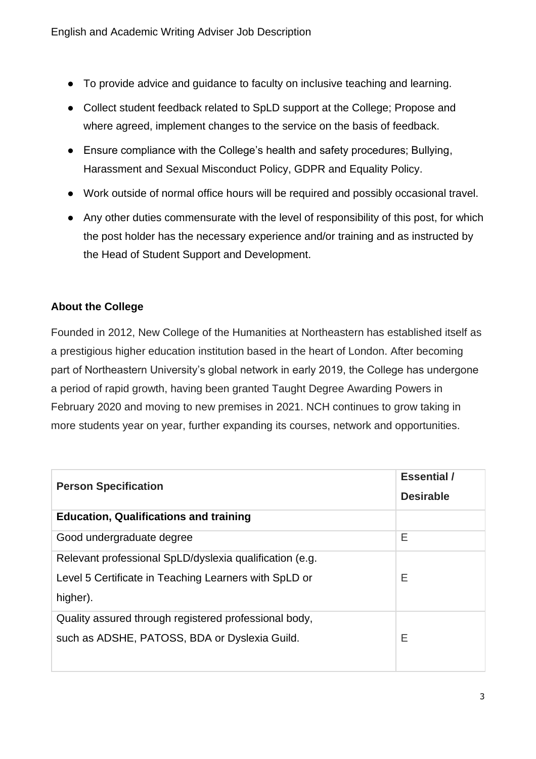- To provide advice and guidance to faculty on inclusive teaching and learning.
- Collect student feedback related to SpLD support at the College; Propose and where agreed, implement changes to the service on the basis of feedback.
- Ensure compliance with the College's health and safety procedures; Bullying, Harassment and Sexual Misconduct Policy, GDPR and Equality Policy.
- Work outside of normal office hours will be required and possibly occasional travel.
- Any other duties commensurate with the level of responsibility of this post, for which the post holder has the necessary experience and/or training and as instructed by the Head of Student Support and Development.

#### **About the College**

Founded in 2012, New College of the Humanities at Northeastern has established itself as a prestigious higher education institution based in the heart of London. After becoming part of Northeastern University's global network in early 2019, the College has undergone a period of rapid growth, having been granted Taught Degree Awarding Powers in February 2020 and moving to new premises in 2021. NCH continues to grow taking in more students year on year, further expanding its courses, network and opportunities.

| <b>Person Specification</b>                             | <b>Essential</b> /<br><b>Desirable</b> |
|---------------------------------------------------------|----------------------------------------|
| <b>Education, Qualifications and training</b>           |                                        |
| Good undergraduate degree                               | Е                                      |
| Relevant professional SpLD/dyslexia qualification (e.g. |                                        |
| Level 5 Certificate in Teaching Learners with SpLD or   | Е                                      |
| higher).                                                |                                        |
| Quality assured through registered professional body,   |                                        |
| such as ADSHE, PATOSS, BDA or Dyslexia Guild.           | Е                                      |
|                                                         |                                        |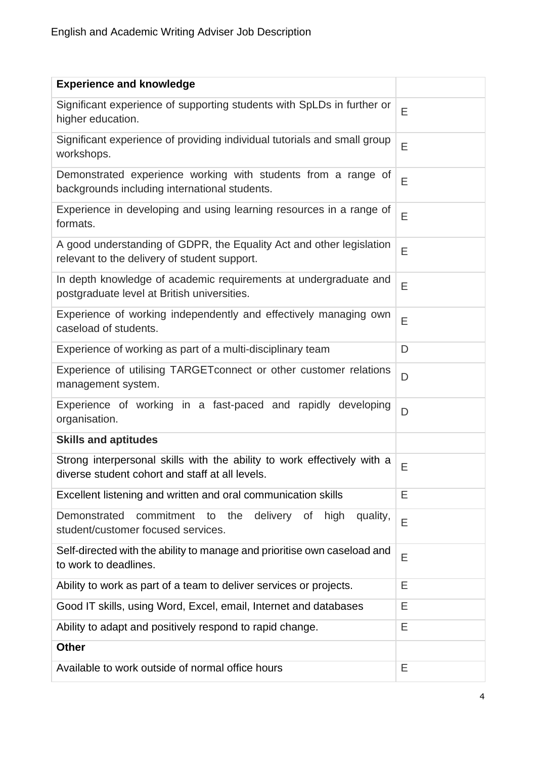| <b>Experience and knowledge</b>                                                                                            |   |
|----------------------------------------------------------------------------------------------------------------------------|---|
| Significant experience of supporting students with SpLDs in further or<br>higher education.                                | E |
| Significant experience of providing individual tutorials and small group<br>workshops.                                     | Ε |
| Demonstrated experience working with students from a range of<br>backgrounds including international students.             | E |
| Experience in developing and using learning resources in a range of<br>formats.                                            | E |
| A good understanding of GDPR, the Equality Act and other legislation<br>relevant to the delivery of student support.       | E |
| In depth knowledge of academic requirements at undergraduate and<br>postgraduate level at British universities.            | E |
| Experience of working independently and effectively managing own<br>caseload of students.                                  | E |
| Experience of working as part of a multi-disciplinary team                                                                 | D |
| Experience of utilising TARGET connect or other customer relations<br>management system.                                   | D |
| Experience of working in a fast-paced and rapidly developing<br>organisation.                                              | D |
| <b>Skills and aptitudes</b>                                                                                                |   |
| Strong interpersonal skills with the ability to work effectively with a<br>diverse student cohort and staff at all levels. | E |
| Excellent listening and written and oral communication skills                                                              | Ε |
| commitment<br>Demonstrated<br>to the<br>delivery<br>high<br>of<br>quality,<br>student/customer focused services.           | E |
| Self-directed with the ability to manage and prioritise own caseload and<br>to work to deadlines.                          | E |
| Ability to work as part of a team to deliver services or projects.                                                         | Е |
| Good IT skills, using Word, Excel, email, Internet and databases                                                           | Е |
| Ability to adapt and positively respond to rapid change.                                                                   | Ε |
| <b>Other</b>                                                                                                               |   |
| Available to work outside of normal office hours                                                                           | Е |